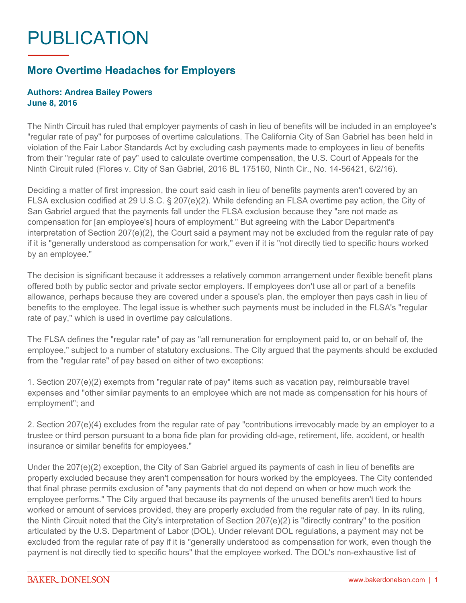## PUBLICATION

## **More Overtime Headaches for Employers**

## **Authors: Andrea Bailey Powers June 8, 2016**

The Ninth Circuit has ruled that employer payments of cash in lieu of benefits will be included in an employee's "regular rate of pay" for purposes of overtime calculations. The California City of San Gabriel has been held in violation of the Fair Labor Standards Act by excluding cash payments made to employees in lieu of benefits from their "regular rate of pay" used to calculate overtime compensation, the U.S. Court of Appeals for the Ninth Circuit ruled (Flores v. City of San Gabriel, 2016 BL 175160, Ninth Cir., No. 14-56421, 6/2/16).

Deciding a matter of first impression, the court said cash in lieu of benefits payments aren't covered by an FLSA exclusion codified at 29 U.S.C. § 207(e)(2). While defending an FLSA overtime pay action, the City of San Gabriel argued that the payments fall under the FLSA exclusion because they "are not made as compensation for [an employee's] hours of employment." But agreeing with the Labor Department's interpretation of Section 207(e)(2), the Court said a payment may not be excluded from the regular rate of pay if it is "generally understood as compensation for work," even if it is "not directly tied to specific hours worked by an employee."

The decision is significant because it addresses a relatively common arrangement under flexible benefit plans offered both by public sector and private sector employers. If employees don't use all or part of a benefits allowance, perhaps because they are covered under a spouse's plan, the employer then pays cash in lieu of benefits to the employee. The legal issue is whether such payments must be included in the FLSA's "regular rate of pay," which is used in overtime pay calculations.

The FLSA defines the "regular rate" of pay as "all remuneration for employment paid to, or on behalf of, the employee," subject to a number of statutory exclusions. The City argued that the payments should be excluded from the "regular rate" of pay based on either of two exceptions:

1. Section 207(e)(2) exempts from "regular rate of pay" items such as vacation pay, reimbursable travel expenses and "other similar payments to an employee which are not made as compensation for his hours of employment"; and

2. Section 207(e)(4) excludes from the regular rate of pay "contributions irrevocably made by an employer to a trustee or third person pursuant to a bona fide plan for providing old-age, retirement, life, accident, or health insurance or similar benefits for employees."

Under the 207(e)(2) exception, the City of San Gabriel argued its payments of cash in lieu of benefits are properly excluded because they aren't compensation for hours worked by the employees. The City contended that final phrase permits exclusion of "any payments that do not depend on when or how much work the employee performs." The City argued that because its payments of the unused benefits aren't tied to hours worked or amount of services provided, they are properly excluded from the regular rate of pay. In its ruling, the Ninth Circuit noted that the City's interpretation of Section 207(e)(2) is "directly contrary" to the position articulated by the U.S. Department of Labor (DOL). Under relevant DOL regulations, a payment may not be excluded from the regular rate of pay if it is "generally understood as compensation for work, even though the payment is not directly tied to specific hours" that the employee worked. The DOL's non-exhaustive list of